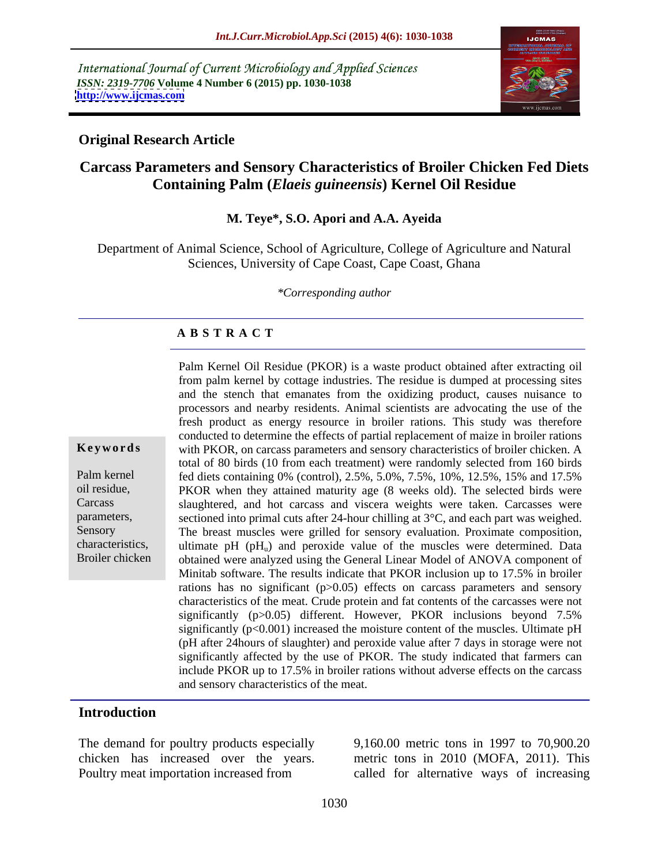International Journal of Current Microbiology and Applied Sciences *ISSN: 2319-7706* **Volume 4 Number 6 (2015) pp. 1030-1038 <http://www.ijcmas.com>**



### **Original Research Article**

## **Carcass Parameters and Sensory Characteristics of Broiler Chicken Fed Diets Containing Palm (***Elaeis guineensis***) Kernel Oil Residue**

### **M. Teye\*, S.O. Apori and A.A. Ayeida**

Department of Animal Science, School of Agriculture, College of Agriculture and Natural Sciences, University of Cape Coast, Cape Coast, Ghana

*\*Corresponding author*

## **A B S T R A C T**

Broiler chicken

Palm Kernel Oil Residue (PKOR) is a waste product obtained after extracting oil from palm kernel by cottage industries. The residue is dumped at processing sites and the stench that emanates from the oxidizing product, causes nuisance to processors and nearby residents. Animal scientists are advocating the use of the fresh product as energy resource in broiler rations. This study was therefore conducted to determine the effects of partial replacement of maize in broiler rations with PKOR, on carcass parameters and sensory characteristics of broiler chicken. A **Ke ywo rds** total of 80 birds (10 from each treatment) were randomly selected from 160 birds fed diets containing 0% (control), 2.5%, 5.0%, 7.5%, 10%, 12.5%, 15% and 17.5% Palm kernel oil residue, **PKOR** when they attained maturity age (8 weeks old). The selected birds were slaughtered, and hot carcass and viscera weights were taken. Carcasses were Carcass parameters, sectioned into primal cuts after 24-hour chilling at 3°C, and each part was weighed. Sensory The breast muscles were grilled for sensory evaluation. Proximate composition, characteristics, ultimate pH (pH<sub>u</sub>) and peroxide value of the muscles were determined. Data obtained were analyzed using the General Linear Model of ANOVA component of Minitab software. The results indicate that PKOR inclusion up to 17.5% in broiler rations has no significant  $(p>0.05)$  effects on carcass parameters and sensory characteristics of the meat. Crude protein and fat contents of the carcasses were not significantly (p>0.05) different. However, PKOR inclusions beyond 7.5% significantly  $(p<0.001)$  increased the moisture content of the muscles. Ultimate  $pH$ (pH after 24hours of slaughter) and peroxide value after 7 days in storage were not significantly affected by the use of PKOR. The study indicated that farmers can include PKOR up to 17.5% in broiler rations without adverse effects on the carcass and sensory characteristics of the meat.

### **Introduction**

The demand for poultry products especially Poultry meat importation increased from called for alternative ways of increasing

chicken has increased over the years. metric tons in 2010 (MOFA, 2011). This 9,160.00 metric tons in 1997 to 70,900.20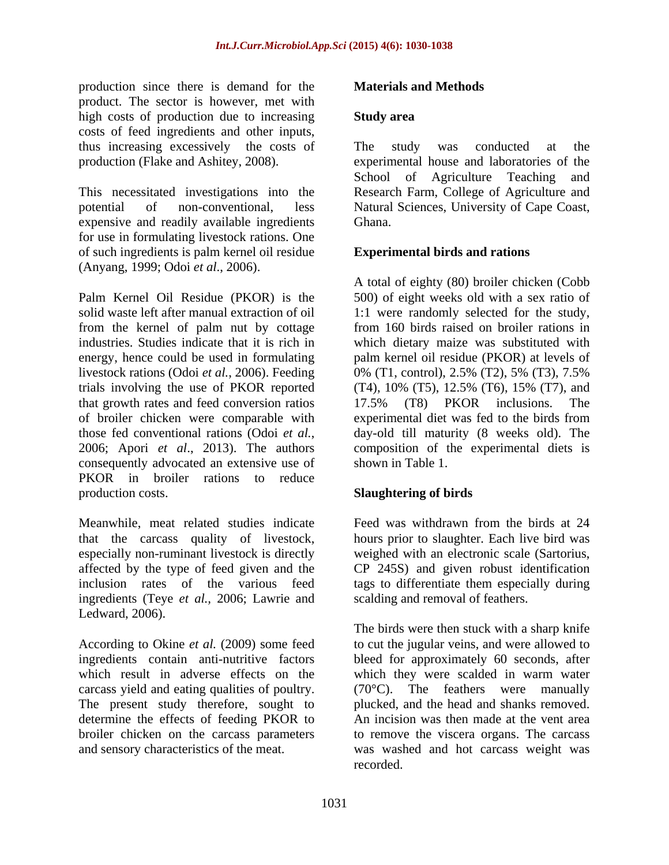production since there is demand for the product. The sector is however, met with high costs of production due to increasing Study area costs of feed ingredients and other inputs, thus increasing excessively the costs of The study was conducted at the

expensive and readily available ingredients for use in formulating livestock rations. One of such ingredients is palm kernel oil residue (Anyang, 1999; Odoi *et al*., 2006).

Palm Kernel Oil Residue (PKOR) is the 500) of eight weeks old with a sex ratio of solid waste left after manual extraction of oil 1:1 were randomly selected for the study, from the kernel of palm nut by cottage industries. Studies indicate that it is rich in which dietary maize was substituted with energy, hence could be used in formulating palm kernel oil residue (PKOR) at levels of livestock rations (Odoi *et al.*, 2006). Feeding 0% (T1, control), 2.5% (T2), 5% (T3), 7.5% trials involving the use of PKOR reported (T4), 10% (T5), 12.5% (T6), 15% (T7), and that growth rates and feed conversion ratios and the state of T8 and The relations. The of broiler chicken were comparable with those fed conventional rations (Odoi *et al.*, 2006; Apori *et al*., 2013). The authors consequently advocated an extensive use of PKOR in broiler rations to reduce production costs. **Slaughtering of birds** 

Meanwhile, meat related studies indicate Feed was withdrawn from the birds at 24 that the carcass quality of livestock, especially non-ruminant livestock is directly especially non-ruminant livestock is directly weighed with an electronic scale (Sartorius, affected by the type of feed given and the inclusion rates of the various feed tags to differentiate them especially during ingredients (Teye *et al.,* 2006; Lawrie and Ledward, 2006).

which result in adverse effects on the which they were scalded in warm water carcass yield and eating qualities of poultry. The present study therefore, sought to determine the effects of feeding PKOR to

### **Materials and Methods**

### **Study area**

production (Flake and Ashitey, 2008). experimental house and laboratories of the This necessitated investigations into the Research Farm, College of Agriculture and potential of non-conventional, less Natural Sciences, University of Cape Coast, The study was conducted at the School of Agriculture Teaching and Ghana. **Ghana**.

### **Experimental birds and rations**

A total of eighty (80) broiler chicken (Cobb from 160 birds raised on broiler rations in 17.5% (T8) PKOR inclusions. The experimental diet was fed to the birds from day-old till maturity (8 weeks old). The composition of the experimental diets is shown in Table 1.

hours prior to slaughter. Each live bird was CP 245S) and given robust identification scalding and removal of feathers.

According to Okine *et al.* (2009) some feed to cut the jugular veins, and were allowed to ingredients contain anti-nutritive factors bleed for approximately 60 seconds, after broiler chicken on the carcass parameters to remove the viscera organs. The carcass and sensory characteristics of the meat. was washed and hot carcass weight was The birds were then stuck with a sharp knife which they were scalded in warm water (70°C). The feathers were manually plucked, and the head and shanks removed. An incision was then made at the vent area recorded.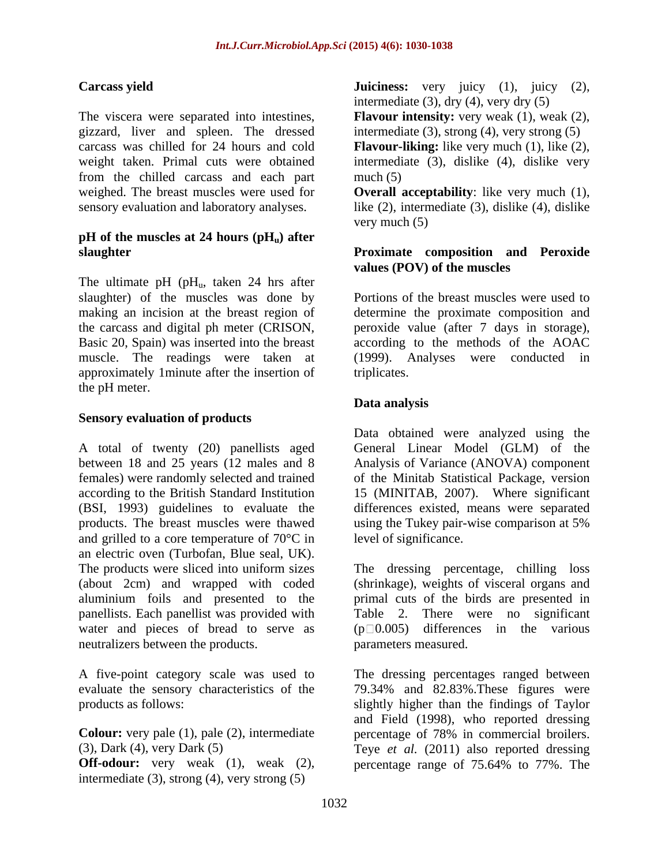The viscera were separated into intestines, **Flavour intensity:** very weak (1), weak (2), gizzard, liver and spleen. The dressed carcass was chilled for 24 hours and cold **Flavour-liking:** like very much (1), like (2), weight taken. Primal cuts were obtained intermediate (3), dislike (4), dislike very from the chilled carcass and each part weighed. The breast muscles were used for **Overall acceptability**: like very much (1), sensory evaluation and laboratory analyses. like (2), intermediate (3), dislike (4), dislike

## $pH$  of the muscles at 24 hours  $(pH<sub>u</sub>)$  after

The ultimate pH (p $H_u$ , taken 24 hrs after slaughter) of the muscles was done by approximately 1minute after the insertion of the pH meter.

### **Sensory evaluation of products**

A total of twenty (20) panellists aged General Linear Model (GLM) of the between 18 and 25 years (12 males and 8 Analysis of Variance (ANOVA) component females) were randomly selected and trained of the Minitab Statistical Package, version according to the British Standard Institution 15 (MINITAB, 2007). Where significant (BSI, 1993) guidelines to evaluate the differences existed, means were separated products. The breast muscles were thawed using the Tukey pair-wise comparison at 5% and grilled to a core temperature of 70°C in an electric oven (Turbofan, Blue seal, UK). The products were sliced into uniform sizes The dressing percentage, chilling loss (about 2cm) and wrapped with coded (shrinkage), weights of visceral organs and aluminium foils and presented to the panellists. Each panellist was provided with Table 2. There were no significant water and pieces of bread to serve as neutralizers between the products.

**Colour:** very pale (1), pale (2), intermediate percentage of 78% in commercial broilers.

intermediate (3), strong (4), very strong (5)

**Carcass yield Juiciness:** very juicy (1), juicy (2), intermediate  $(3)$ , dry  $(4)$ , very dry  $(5)$ 

intermediate (3), strong (4), very strong (5)

 $much(5)$ 

very much (5)

### **slaughter Proximate composition and Peroxide values (POV) of the muscles**

making an incision at the breast region of determine the proximate composition and the carcass and digital ph meter (CRISON, peroxide value (after 7 days in storage), Basic 20, Spain) was inserted into the breast according to the methods of the AOAC muscle. The readings were taken at (1999). Analyses were conducted in Portions of the breast muscles were used to triplicates.

## **Data analysis**

Data obtained were analyzed using the using the Tukey pair-wise comparison at 5% level of significance.

primal cuts of the birds are presented in  $(p \Box 0.005)$  differences in the various parameters measured.

A five-point category scale was used to The dressing percentages ranged between evaluate the sensory characteristics of the 79.34% and 82.83%.These figures were products as follows: slightly higher than the findings of Taylor (3), Dark (4), very Dark (5) Teye *et al.* (2011) also reported dressing **Off-odour:** very weak (1), weak (2), percentage range of 75.64% to 77%. The and Field (1998), who reported dressing percentage of 78% in commercial broilers. percentage range of 75.64% to 77%. The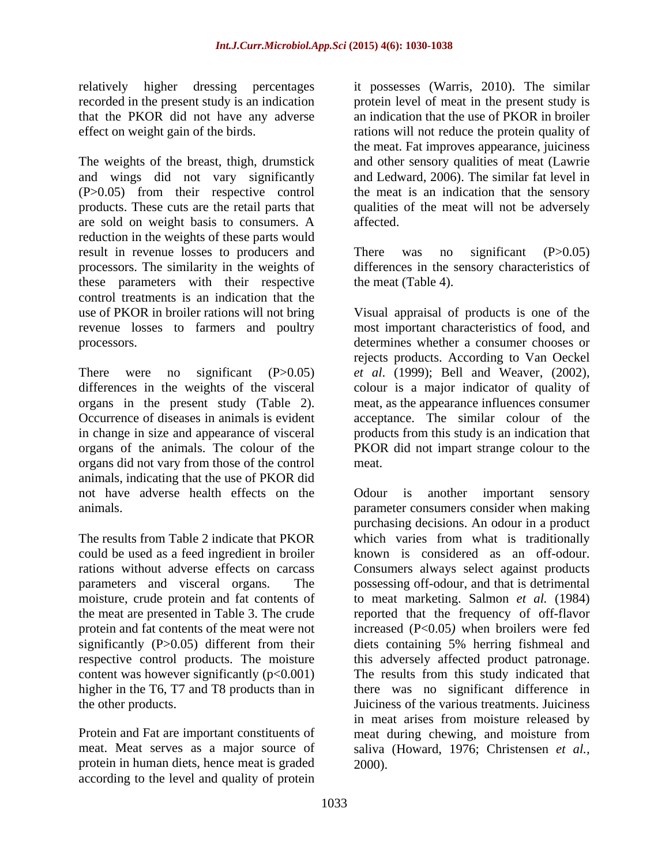that the PKOR did not have any adverse

The weights of the breast, thigh, drumstick and wings did not vary significantly and Ledward, 2006). The similar fat level in (P>0.05) from their respective control the meat is an indication that the sensory products. These cuts are the retail parts that qualities of the meat will not be adversely are sold on weight basis to consumers. A reduction in the weights of these parts would result in revenue losses to producers and There was no significant (P>0.05) processors. The similarity in the weights of differences in the sensory characteristics of these parameters with their respective control treatments is an indication that the use of PKOR in broiler rations will not bring Visual appraisal of products is one of the revenue losses to farmers and poultry

There were no significant (P>0.05) *et al*. (1999); Bell and Weaver, (2002), differences in the weights of the visceral colour is a major indicator of quality of organs in the present study (Table 2). meat, as the appearance influences consumer Occurrence of diseases in animals is evident acceptance. The similar colour of the in change in size and appearance of visceral products from this study is an indication that organs of the animals. The colour of the PKOR did not impart strange colour to the organs did not vary from those of the control animals, indicating that the use of PKOR did not have adverse health effects on the Odour is another important sensory

could be used as a feed ingredient in broiler moisture, crude protein and fat contents of significantly (P>0.05) different from their respective control products. The moisture this adversely affected product patronage.<br>
content was however significantly  $(p<0.001)$  The results from this study indicated that higher in the T6, T7 and T8 products than in

Protein and Fat are important constituents of meat during chewing, and moisture from protein in human diets, hence meat is graded according to the level and quality of protein

relatively higher dressing percentages it possesses (Warris, 2010). The similar recorded in the present study is an indication protein level of meat in the present study is effect on weight gain of the birds. The rations will not reduce the protein quality of an indication that the use of PKOR in broiler the meat. Fat improves appearance, juiciness and other sensory qualities of meat (Lawrie affected.

> There was no significant (P>0.05) the meat (Table 4).

processors. determines whether a consumer chooses or most important characteristics of food, and rejects products. According to Van Oeckel meat.

animals. parameter consumers consider when making The results from Table 2 indicate that PKOR which varies from what is traditionally rations without adverse effects on carcass Consumers always select against products parameters and visceral organs. The possessing off-odour, and that is detrimental the meat are presented in Table 3. The crude reported that the frequency of off-flavor protein and fat contents of the meat were not increased (P<0.05*)* when broilers were fed The results from this study indicated that the other products. Juiciness of the various treatments. Juiciness meat. Meat serves as a major source of saliva (Howard, 1976; Christensen *et al.,* Odour is another important sensory purchasing decisions. An odour in a product known is considered as an off-odour. to meat marketing. Salmon *et al.* (1984) diets containing 5% herring fishmeal and this adversely affected product patronage.The results from this study indicated that there was no significant difference in in meat arises from moisture released by meat during chewing, and moisture from 2000).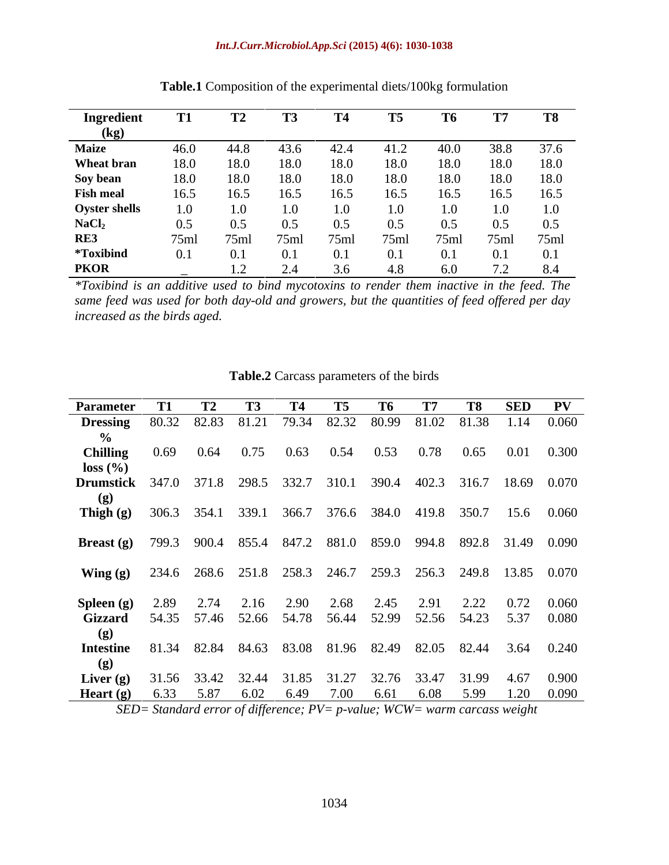### *Int.J.Curr.Microbiol.App.Sci* **(2015) 4(6): 1030-1038**

| Ingredient           |      |      |      |      | T <sub>5</sub> | T6   | Т7                    |      |
|----------------------|------|------|------|------|----------------|------|-----------------------|------|
| (Kg                  |      |      |      |      |                |      |                       |      |
| <b>Maize</b>         | 46.0 | 44.8 | 43.6 | 42.4 | 41.2           | 40.0 | 38.8                  | 37.6 |
| Wheat bran           | 18.0 | 18.0 | 18.0 | 18.0 | 18.0           | 18.0 | 18.0                  | 18.0 |
| Soy bean             | 18.0 | 18.0 | 18.0 | 18.0 | 18.0           | 18.0 | 18.0                  | 18.0 |
| <b>Fish meal</b>     | 16.5 | 16.5 | 16.5 | 16.5 | 16.5           | 16.5 | 16.5                  | 16.5 |
| <b>Oyster shells</b> | 0.1  | 1.0  |      |      |                |      |                       | 1.0  |
| NaCl <sub>2</sub>    | 0.5  | 0.5  | 0.5  | 0.5  | 0.5            | 0.5  | 0.5                   | 0.5  |
| RE3                  | 75ml | 75ml | 75ml | 75ml | 75ml           | 75ml | 75ml                  | 75ml |
| *Toxibind            |      | 0.1  | 0.   | 0.1  |                |      | 0.1                   | 0.1  |
| <b>PKOR</b>          |      |      |      | 36   | 4.8            | 6.0  | $\overline{z}$<br>ے ، | 8.4  |

**Table.1** Composition of the experimental diets/100kg formulation

*\*Toxibind is an additive used to bind mycotoxins to render them inactive in the feed. The same feed was used for both day-old and growers, but the quantities of feed of ered per day increased as the birds aged.*

| Parameter T1 T2 T3                                                  |      |                               | <b>T4</b> | <b>T5</b> |      | T6 T7 | <b>T8</b>   | SED PV                                                                        |
|---------------------------------------------------------------------|------|-------------------------------|-----------|-----------|------|-------|-------------|-------------------------------------------------------------------------------|
|                                                                     |      |                               |           |           |      |       |             | <b>Dressing</b> 80.32 82.83 81.21 79.34 82.32 80.99 81.02 81.38 1.14 0.060    |
|                                                                     |      |                               |           |           |      |       |             |                                                                               |
|                                                                     |      |                               |           |           |      |       |             |                                                                               |
| <b>Chilling</b>                                                     | 0.69 | $0.64$ $0.75$ $0.63$ $0.54$   |           |           | 0.53 |       | $0.78$ 0.65 | $0.01$ 0.300                                                                  |
| loss(%)                                                             |      |                               |           |           |      |       |             |                                                                               |
|                                                                     |      |                               |           |           |      |       |             | <b>Drumstick</b> 347.0 371.8 298.5 332.7 310.1 390.4 402.3 316.7 18.69 0.070  |
|                                                                     |      |                               |           |           |      |       |             |                                                                               |
|                                                                     |      |                               |           |           |      |       |             | <b>Thigh (g)</b> 306.3 354.1 339.1 366.7 376.6 384.0 419.8 350.7 15.6 0.060   |
|                                                                     |      |                               |           |           |      |       |             |                                                                               |
|                                                                     |      |                               |           |           |      |       |             |                                                                               |
|                                                                     |      |                               |           |           |      |       |             | <b>Breast (g)</b> 799.3 900.4 855.4 847.2 881.0 859.0 994.8 892.8 31.49 0.090 |
|                                                                     |      |                               |           |           |      |       |             |                                                                               |
|                                                                     |      |                               |           |           |      |       |             | <b>Wing (g)</b> 234.6 268.6 251.8 258.3 246.7 259.3 256.3 249.8 13.85 0.070   |
|                                                                     |      |                               |           |           |      |       |             |                                                                               |
|                                                                     |      |                               |           |           |      |       |             |                                                                               |
| <b>Spleen</b> (g) $2.89$                                            |      | 2.74 2.16 2.90 2.68 2.45 2.91 |           |           |      |       |             | 2.22 0.72 0.060                                                               |
|                                                                     |      |                               |           |           |      |       |             | Gizzard 54.35 57.46 52.66 54.78 56.44 52.99 52.56 54.23 5.37 0.080            |
|                                                                     |      |                               |           |           |      |       |             |                                                                               |
|                                                                     |      |                               |           |           |      |       |             |                                                                               |
|                                                                     |      |                               |           |           |      |       |             | <b>Intestine</b> 81.34 82.84 84.63 83.08 81.96 82.49 82.05 82.44 3.64 0.240   |
|                                                                     |      |                               |           |           |      |       |             |                                                                               |
|                                                                     |      |                               |           |           |      |       |             | <b>Liver (g)</b> 31.56 33.42 32.44 31.85 31.27 32.76 33.47 31.99 4.67 0.900   |
|                                                                     |      |                               |           |           |      |       |             |                                                                               |
| <b>Heart (g)</b> 6.33 5.87 6.02 6.49 7.00 6.61 6.08 5.99 1.20 0.090 |      |                               |           |           |      |       |             |                                                                               |

### **Table.2** Carcass parameters of the birds

*SED= Standard error of difference; PV= p-value; WCW= warm carcass weight*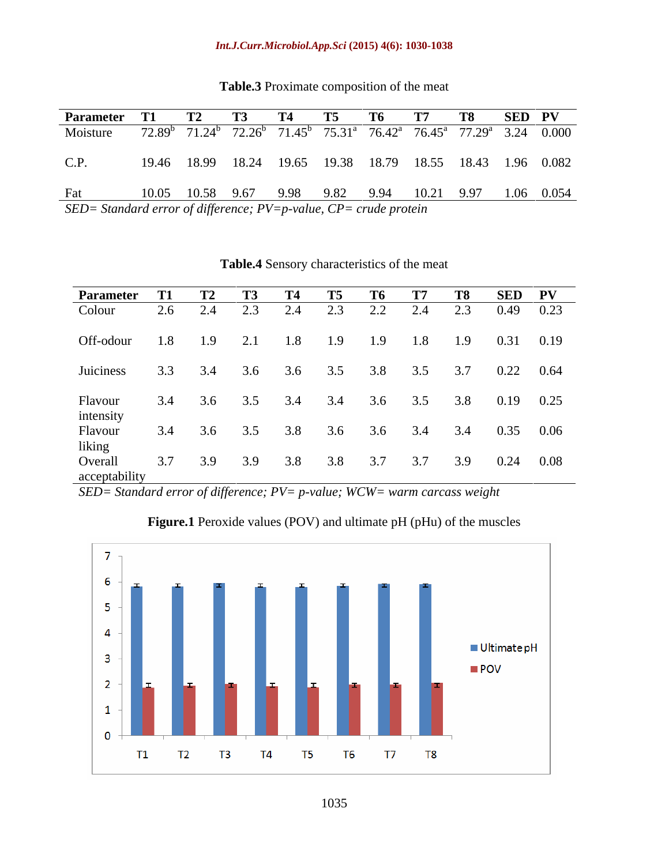**Table.3** Proximate composition of the meat

| Parameter T1                                                          |     |     |                                 | 14  | <b>T5</b> | - 16 - |     | <b>T8</b> | SED PV        |
|-----------------------------------------------------------------------|-----|-----|---------------------------------|-----|-----------|--------|-----|-----------|---------------|
| Colour                                                                |     |     |                                 |     | 2.3       | 2.2    | 2.4 | 2.3       | $0.49$ 0.23   |
| Off-odour                                                             | 1.8 | 1.9 | 2.1                             | 1.8 | 1.9       | 1.9    | 1.8 | 1.9       | $0.31$ 0.19   |
| Juiciness 3.3 3.4                                                     |     |     | 3.6                             | 3.6 | 3.5       | 3.8    | 3.5 | 3.7       | $0.22$ 0.64   |
|                                                                       |     |     | 3.4 3.6 3.5 3.4 3.4 3.6 3.5 3.8 |     |           |        |     |           | $0.19$ $0.25$ |
|                                                                       |     |     | 3.5                             | 3.8 | 3.6       | 3.6    | 3.4 | 3.4       | $0.35$ 0.06   |
| Flavour<br>intensity<br>Flavour<br>liking<br>Overall<br>acceptability |     |     | 3.9                             | 3.8 | 3.8       |        | 3.7 |           | $0.24$ 0.08   |
|                                                                       |     |     |                                 |     |           |        |     |           |               |

### **Table.4** Sensory characteristics of the meat

*SED= Standard error of difference; PV= p-value; WCW= warm carcass weight*



**Figure.1** Peroxide values (POV) and ultimate pH (pHu) of the muscles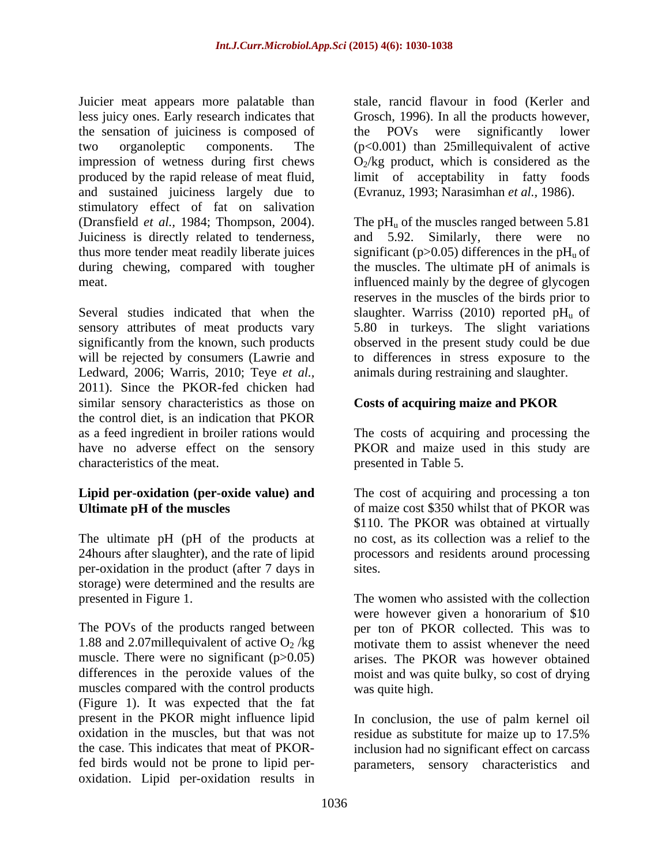Juicier meat appears more palatable than less juicy ones. Early research indicates that Grosch, 1996). In all the products however, the sensation of juiciness is composed of the POVs were significantly lower two organoleptic components. The (p<0.001) than 25millequivalent of active impression of wetness during first chews produced by the rapid release of meat fluid, limit of acceptability in fatty foods and sustained juiciness largely due to stimulatory effect of fat on salivation (Dransfield *et al.*, 1984; Thompson, 2004). The  $pH_u$  of the muscles ranged between 5.81 Juiciness is directly related to tenderness, and 5.92. Similarly, there were no thus more tender meat readily liberate juices significant  $(p>0.05)$  differences in the pH<sub>u</sub> of during chewing, compared with tougher the muscles. The ultimate pH of animals is

sensory attributes of meat products vary 5.80 in turkeys. The slight variations significantly from the known, such products observed in the present study could be due will be rejected by consumers (Lawrie and to differences in stress exposure to the Ledward, 2006; Warris, 2010; Teye *et al.,* 2011). Since the PKOR-fed chicken had similar sensory characteristics as those on Costs of acquiring maize and PKOR the control diet, is an indication that PKOR as a feed ingredient in broiler rations would The costs of acquiring and processing the have no adverse effect on the sensory PKOR and maize used in this study are characteristics of the meat.

# **Lipid per-oxidation (per-oxide value) and**

The ultimate pH (pH of the products at a no cost, as its collection was a relief to the 24hours after slaughter), and the rate of lipid processors and residents around processing per-oxidation in the product (after 7 days in storage) were determined and the results are presented in Figure 1. The women who assisted with the collection

The POVs of the products ranged between per ton of PKOR collected. This was to 1.88 and 2.07millequivalent of active  $O_2$ /kg motivate them to assist whenever the need muscle. There were no significant  $(p>0.05)$ differences in the peroxide values of the moist and was quite bulky, so cost of drying muscles compared with the control products (Figure 1). It was expected that the fat present in the PKOR might influence lipid In conclusion, the use of palm kernel oil oxidation in the muscles, but that was not residue as substitute for maize up to 17.5% the case. This indicates that meat of PKOR-inclusion had no significant effect on carcass fed birds would not be prone to lipid per- parameters, sensory characteristics andoxidation. Lipid per-oxidation results in

stale, rancid flavour in food (Kerler and the POVs were significantly lower  $O_2$ /kg product, which is considered as the (Evranuz, 1993; Narasimhan *et al.,* 1986).

meat.<br>
Several studies indicated that when the slaughter. Warriss (2010) reported pH<sub>u</sub> of and 5.92. Similarly, there were no influenced mainly by the degree of glycogen reserves in the muscles of the birds prior to slaughter. Warriss (2010) reported  $pH_u$  of animals during restraining and slaughter.

## **Costs of acquiring maize and PKOR**

presented in Table 5.

**Ultimate pH of the muscles** of maize cost \$350 whilst that of PKOR was The cost of acquiring and processing a ton \$110. The PKOR was obtained at virtually

sites.<br>The women who assisted with the collection were however given a honorarium of \$10 motivate them to assist whenever the need arises. The PKOR was however obtained was quite high.

residue as substitute for maize up to 17.5%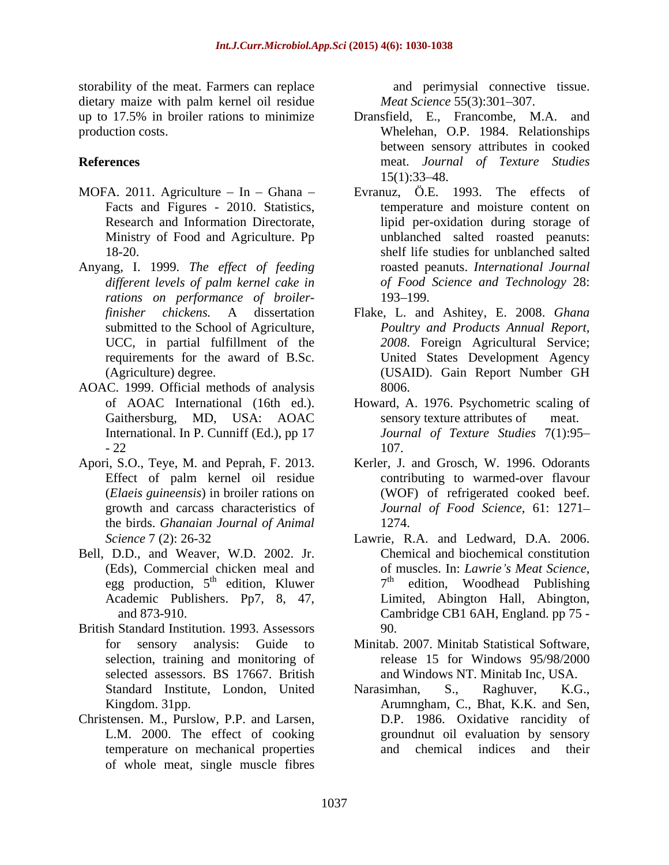storability of the meat. Farmers can replace dietary maize with palm kernel oil residue

- MOFA. 2011. Agriculture  $-$  In  $-$  Ghana  $-$
- Anyang, I. 1999. *The effect of feeding rations on performance of broiler-*
- AOAC. 1999. Official methods of analysis
- Effect of palm kernel oil residue the birds. *Ghanaian Journal of Animal*
- Bell, D.D., and Weaver, W.D. 2002. Jr. egg production,  $5<sup>th</sup>$  edition, Kluwer
- British Standard Institution. 1993. Assessors selected assessors. BS 17667. British
- Christensen. M., Purslow, P.P. and Larsen, temperature on mechanical properties of whole meat, single muscle fibres

and perimysial connective tissue. *Meat Science* 55(3):301-307.

- up to 17.5% in broiler rations to minimize Dransfield, E., Francombe, M.A. and production costs. Whelehan, O.P. 1984. Relationships **References** meat. *Journal of Texture Studies* between sensory attributes in cooked  $15(1):33-48.$ 
	- Facts and Figures 2010. Statistics, temperature and moisture content on Research and Information Directorate, lipid per-oxidation during storage of Ministry of Food and Agriculture. Pp unblanched salted roasted peanuts: 18-20. shelf life studies for unblanched salted *dif erent levels of palm kernel cake in of Food Science and Technology* 28: Evranuz, Ö.E. 1993. The effects of roasted peanuts. *International Journal* 193–199.
	- *finisher chickens.* A dissertation Flake, L. and Ashitey, E. 2008. *Ghana* submitted to the School of Agriculture, *Poultry and Products Annual Report,* UCC, in partial fulfillment of the *2008*. Foreign Agricultural Service; requirements for the award of B.Sc. United States Development Agency (Agriculture) degree. (USAID). Gain Report Number GH 8006.
	- of AOAC International (16th ed.). Howard, A. 1976. Psychometric scaling of Gaithersburg, MD, USA: AOAC sensory texture attributes of meat. International. In P. Cunniff (Ed.), pp 17  $Journal of Texture Studies 7(1):95-22$ sensory texture attributes of *Journal of Texture Studies* 7(1):95 107.
- Apori, S.O., Teye, M. and Peprah, F. 2013. Kerler, J. and Grosch, W. 1996. Odorants (*Elaeis guineensis*) in broiler rations on (WOF) of refrigerated cooked beef. growth and carcass characteristics of *Journal of Food Science*, 61: 1271 contributing to warmed-over flavour 1274.
	- *Science* 7 (2): 26-32 Lawrie, R.A. and Ledward, D.A. 2006. (Eds), Commercial chicken meal and of muscles. In: *Lawrie's Meat Science*, egg production.  $5^{th}$  edition. Kluwer  $7^{th}$  edition. Woodhead Publishing <sup>th</sup> edition, Kluwer  $7<sup>th</sup>$  edition, Woodhead Publishing Academic Publishers. Pp7, 8, 47, and 873-910. Cambridge CB1 6AH, England. pp 75 -Chemical and biochemical constitution of muscles. In: *Lawrie <sup>s</sup> Meat Science*, 7 Limited, Abington Hall, Abington,<br>Cambridge CB1 6AH, England. pp 75 -90.
	- for sensory analysis: Guide to Minitab. 2007. Minitab Statistical Software, selection, training and monitoring of release 15 for Windows 95/98/2000 and Windows NT. Minitab Inc, USA.
	- Standard Institute, London, United Narasimhan, S., Raghuver, K.G., Kingdom. 31pp. Arumngham, C., Bhat, K.K. and Sen, L.M. 2000. The effect of cooking groundnut oil evaluation by sensory Narasimhan, S., Raghuver, K.G., D.P. 1986. Oxidative rancidity of and chemical indices and their